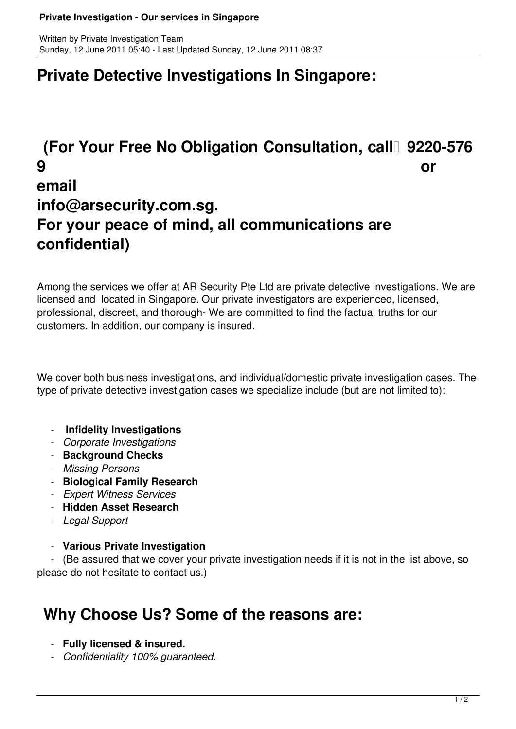#### **Private Investigation - Our services in Singapore**

### **Private Detective Investigations In Singapore:**

# **(For Your Free No Obligation Consultation, call 9220-576) 9 or email info@arsecurity.com.sg. For your peace of mind, all communications are confidential)**

Among the services we offer at AR Security Pte Ltd are private detective investigations. We are licensed and located in Singapore. Our private investigators are experienced, licensed, professional, discreet, and thorough- We are committed to find the factual truths for our customers. In addition, our company is insured.

We cover both business investigations, and individual/domestic private investigation cases. The type of private detective investigation cases we specialize include (but are not limited to):

- **Infidelity Investigations**
- *Corporate Investigations*
- **Background Checks**
- *Missing Persons*
- **Biological Family Research**
- *Expert Witness Services*
- **Hidden Asset Research**
- *Legal Support*

#### - **Various Private Investigation**

 - (Be assured that we cover your private investigation needs if it is not in the list above, so please do not hesitate to contact us.)

### **Why Choose Us? Some of the reasons are:**

- **Fully licensed & insured.**
- *Confidentiality 100% guaranteed.*